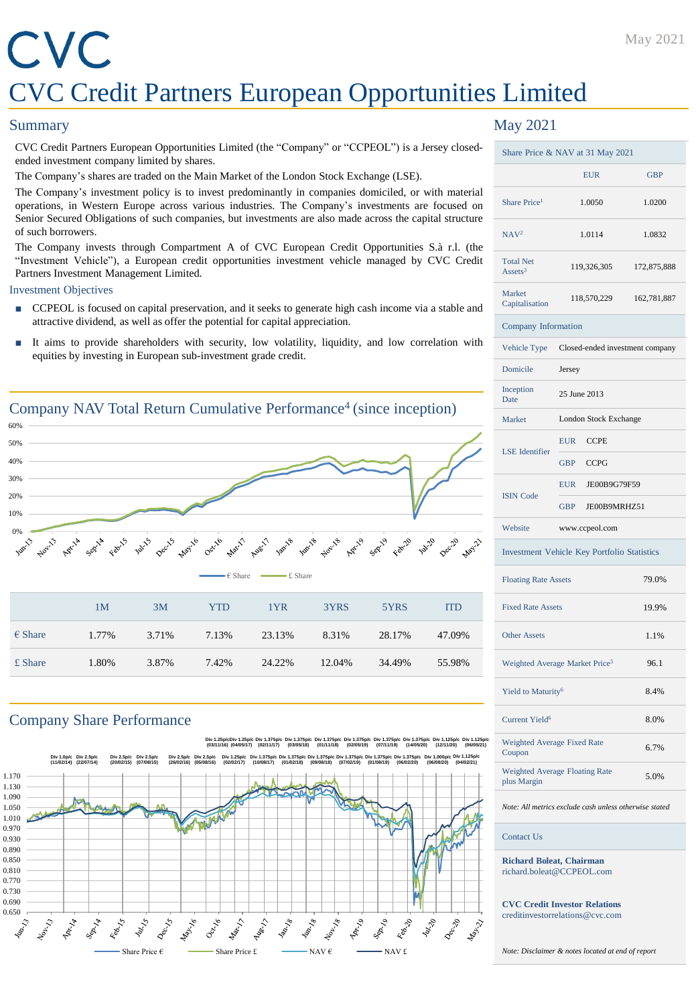# CVC CVC Credit Partners European Opportunities Limited

### **Summary**

CVC Credit Partners European Opportunities Limited (the "Company" or "CCPEOL") is a Jersey closedended investment company limited by shares.

The Company's shares are traded on the Main Market of the London Stock Exchange (LSE).

The Company's investment policy is to invest predominantly in companies domiciled, or with material operations, in Western Europe across various industries. The Company's investments are focused on Senior Secured Obligations of such companies, but investments are also made across the capital structure of such borrowers.

The Company invests through Compartment A of CVC European Credit Opportunities S.à r.l. (the "Investment Vehicle"), a European credit opportunities investment vehicle managed by CVC Credit Partners Investment Management Limited.

### Investment Objectives

- CCPEOL is focused on capital preservation, and it seeks to generate high cash income via a stable and attractive dividend, as well as offer the potential for capital appreciation.
- It aims to provide shareholders with security, low volatility, liquidity, and low correlation with equities by investing in European sub-investment grade credit.



## Company Share Performance



## May 2021

| Share Price & NAV at 31 May 2021           |                                             |             |  |  |
|--------------------------------------------|---------------------------------------------|-------------|--|--|
|                                            | <b>EUR</b>                                  | <b>GBP</b>  |  |  |
| Share Price <sup>1</sup>                   | 1.0050                                      | 1.0200      |  |  |
| NAV <sup>2</sup>                           | 1.0114                                      | 1.0832      |  |  |
| <b>Total Net</b><br>Assets <sup>3</sup>    | 119,326,305                                 | 172,875,888 |  |  |
| Market<br>Capitalisation                   | 118,570,229                                 | 162,781,887 |  |  |
| Company Information                        |                                             |             |  |  |
| Vehicle Type                               | Closed-ended investment company             |             |  |  |
| Domicile                                   | Jersey                                      |             |  |  |
| Inception<br>Date                          | 25 June 2013                                |             |  |  |
| Market                                     | London Stock Exchange                       |             |  |  |
| <b>LSE</b> Identifier                      | <b>EUR</b><br><b>CCPE</b>                   |             |  |  |
|                                            | <b>CCPG</b><br><b>GBP</b>                   |             |  |  |
|                                            | <b>EUR</b><br>JE00B9G79F59                  |             |  |  |
| <b>ISIN Code</b>                           | <b>GBP</b><br>JE00B9MRHZ51                  |             |  |  |
| Website                                    | www.ccpeol.com                              |             |  |  |
|                                            | Investment Vehicle Key Portfolio Statistics |             |  |  |
| <b>Floating Rate Assets</b>                |                                             | 79.0%       |  |  |
| <b>Fixed Rate Assets</b>                   |                                             | 19.9%       |  |  |
| <b>Other Assets</b>                        |                                             | 1.1%        |  |  |
| Weighted Average Market Price <sup>5</sup> |                                             | 96.1        |  |  |
| Yield to Maturity <sup>6</sup>             |                                             | 8.4%        |  |  |
| Current Yield <sup>6</sup>                 |                                             | 8.0%        |  |  |
| Weighted Average Fixed Rate<br>Coupon      |                                             | 6.7%        |  |  |
| plus Margin                                | Weighted Average Floating Rate              | 5.0%        |  |  |

*Note: All metrics exclude cash unless otherwise stated*

### Contact Us

**Richard Boleat, Chairman** richard.boleat@CCPEOL.com

**CVC Credit Investor Relations** creditinvestorrelations@cvc.com

*Note: Disclaimer & notes located at end of report*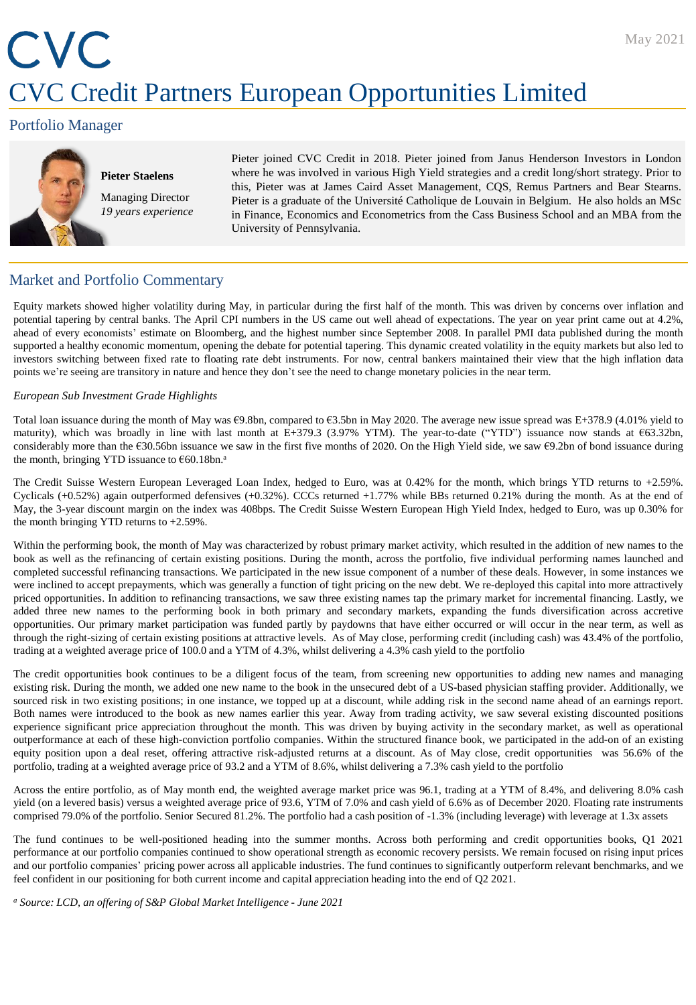# CVC CVC Credit Partners European Opportunities Limited

## Portfolio Manager



**Pieter Staelens** Managing Director *19 years experience* Pieter joined CVC Credit in 2018. Pieter joined from Janus Henderson Investors in London where he was involved in various High Yield strategies and a credit long/short strategy. Prior to this, Pieter was at James Caird Asset Management, CQS, Remus Partners and Bear Stearns. Pieter is a graduate of the Université Catholique de Louvain in Belgium. He also holds an MSc in Finance, Economics and Econometrics from the Cass Business School and an MBA from the University of Pennsylvania.

## Market and Portfolio Commentary

Equity markets showed higher volatility during May, in particular during the first half of the month. This was driven by concerns over inflation and potential tapering by central banks. The April CPI numbers in the US came out well ahead of expectations. The year on year print came out at 4.2%, ahead of every economists' estimate on Bloomberg, and the highest number since September 2008. In parallel PMI data published during the month supported a healthy economic momentum, opening the debate for potential tapering. This dynamic created volatility in the equity markets but also led to investors switching between fixed rate to floating rate debt instruments. For now, central bankers maintained their view that the high inflation data points we're seeing are transitory in nature and hence they don't see the need to change monetary policies in the near term.

### *European Sub Investment Grade Highlights*

Total loan issuance during the month of May was €9.8bn, compared to €3.5bn in May 2020. The average new issue spread was E+378.9 (4.01% yield to maturity), which was broadly in line with last month at E+379.3 (3.97% YTM). The year-to-date ("YTD") issuance now stands at €63.32bn, considerably more than the  $630.56$ bn issuance we saw in the first five months of 2020. On the High Yield side, we saw  $69.2$ bn of bond issuance during the month, bringing YTD issuance to €60.18bn. a

The Credit Suisse Western European Leveraged Loan Index, hedged to Euro, was at 0.42% for the month, which brings YTD returns to +2.59%. Cyclicals (+0.52%) again outperformed defensives (+0.32%). CCCs returned +1.77% while BBs returned 0.21% during the month. As at the end of May, the 3-year discount margin on the index was 408bps. The Credit Suisse Western European High Yield Index, hedged to Euro, was up 0.30% for the month bringing YTD returns to  $+2.59\%$ .

Within the performing book, the month of May was characterized by robust primary market activity, which resulted in the addition of new names to the book as well as the refinancing of certain existing positions. During the month, across the portfolio, five individual performing names launched and completed successful refinancing transactions. We participated in the new issue component of a number of these deals. However, in some instances we were inclined to accept prepayments, which was generally a function of tight pricing on the new debt. We re-deployed this capital into more attractively priced opportunities. In addition to refinancing transactions, we saw three existing names tap the primary market for incremental financing. Lastly, we added three new names to the performing book in both primary and secondary markets, expanding the funds diversification across accretive opportunities. Our primary market participation was funded partly by paydowns that have either occurred or will occur in the near term, as well as through the right-sizing of certain existing positions at attractive levels. As of May close, performing credit (including cash) was 43.4% of the portfolio, trading at a weighted average price of 100.0 and a YTM of 4.3%, whilst delivering a 4.3% cash yield to the portfolio

The credit opportunities book continues to be a diligent focus of the team, from screening new opportunities to adding new names and managing existing risk. During the month, we added one new name to the book in the unsecured debt of a US-based physician staffing provider. Additionally, we sourced risk in two existing positions; in one instance, we topped up at a discount, while adding risk in the second name ahead of an earnings report. Both names were introduced to the book as new names earlier this year. Away from trading activity, we saw several existing discounted positions experience significant price appreciation throughout the month. This was driven by buying activity in the secondary market, as well as operational outperformance at each of these high-conviction portfolio companies. Within the structured finance book, we participated in the add-on of an existing equity position upon a deal reset, offering attractive risk-adjusted returns at a discount. As of May close, credit opportunities was 56.6% of the portfolio, trading at a weighted average price of 93.2 and a YTM of 8.6%, whilst delivering a 7.3% cash yield to the portfolio

Across the entire portfolio, as of May month end, the weighted average market price was 96.1, trading at a YTM of 8.4%, and delivering 8.0% cash yield (on a levered basis) versus a weighted average price of 93.6, YTM of 7.0% and cash yield of 6.6% as of December 2020. Floating rate instruments comprised 79.0% of the portfolio. Senior Secured 81.2%. The portfolio had a cash position of -1.3% (including leverage) with leverage at 1.3x assets

The fund continues to be well-positioned heading into the summer months. Across both performing and credit opportunities books, Q1 2021 performance at our portfolio companies continued to show operational strength as economic recovery persists. We remain focused on rising input prices and our portfolio companies' pricing power across all applicable industries. The fund continues to significantly outperform relevant benchmarks, and we feel confident in our positioning for both current income and capital appreciation heading into the end of Q2 2021.

*<sup>a</sup> Source: LCD, an offering of S&P Global Market Intelligence - June 2021*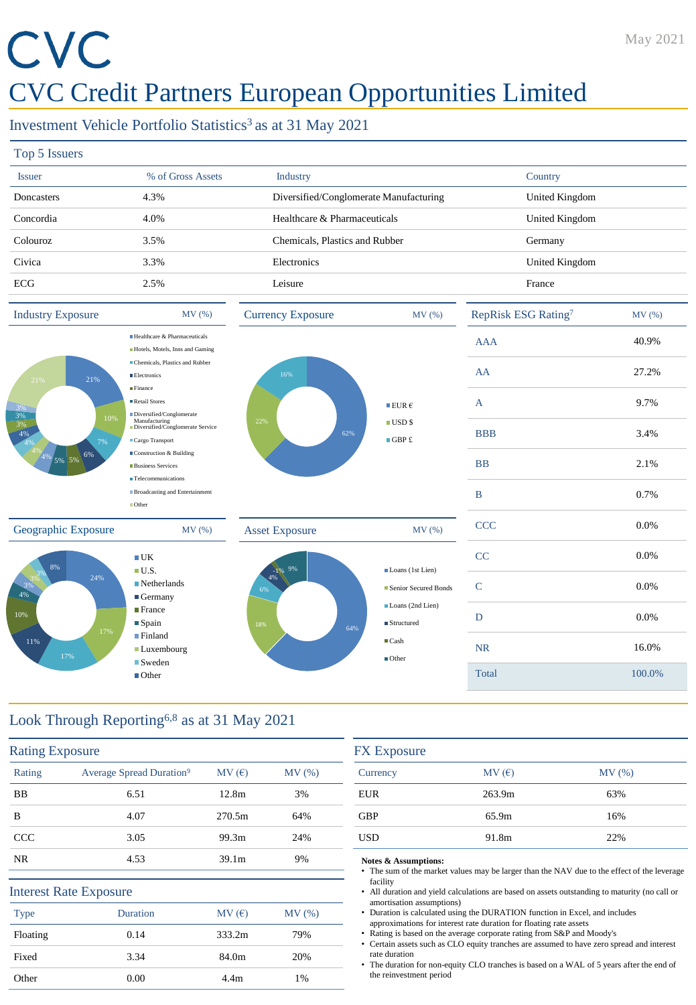# CVC

# CVC Credit Partners European Opportunities Limited

## Investment Vehicle Portfolio Statistics<sup>3</sup> as at 31 May 2021

| Top 5 Issuers |                   |                                        |                |
|---------------|-------------------|----------------------------------------|----------------|
| <b>Issuer</b> | % of Gross Assets | <b>Industry</b>                        | Country        |
| Doncasters    | 4.3%              | Diversified/Conglomerate Manufacturing | United Kingdom |
| Concordia     | 4.0%              | Healthcare & Pharmaceuticals           | United Kingdom |
| Colouroz      | 3.5%              | Chemicals, Plastics and Rubber         | Germany        |
| Civica        | 3.3%              | Electronics                            | United Kingdom |
| <b>ECG</b>    | 2.5%              | Leisure                                | France         |



# Look Through Reporting6,8 as at 31 May 2021

| <b>Rating Exposure</b> |                                      |                   |       |
|------------------------|--------------------------------------|-------------------|-------|
| Rating                 | Average Spread Duration <sup>9</sup> | MV(E)             | MV(%) |
| <b>BB</b>              | 6.51                                 | 12.8m             | 3%    |
| B                      | 4.07                                 | 270.5m            | 64%   |
| <b>CCC</b>             | 3.05                                 | 99.3m             | 24%   |
| <b>NR</b>              | 4.53                                 | 39.1 <sub>m</sub> | 9%    |
|                        | <b>Interest Rate Exposure</b>        |                   |       |
| <b>Type</b>            | Duration                             | MV(E)             | MV(%) |
| Floating               | 0.14                                 | 333.2m            | 79%   |
| Fixed                  | 3.34                                 | 84.0m             | 20%   |
| Other                  | 0.00                                 | 4.4 <sub>m</sub>  | 1%    |

| <b>FX</b> Exposure |        |       |  |
|--------------------|--------|-------|--|
| Currency           | MV(E)  | MV(%) |  |
| <b>EUR</b>         | 263.9m | 63%   |  |
| <b>GBP</b>         | 65.9m  | 16%   |  |
| <b>USD</b>         | 91.8m  | 22%   |  |

### **Notes & Assumptions:**

The sum of the market values may be larger than the NAV due to the effect of the leverage facility

• All duration and yield calculations are based on assets outstanding to maturity (no call or amortisation assumptions)

• Duration is calculated using the DURATION function in Excel, and includes approximations for interest rate duration for floating rate assets

• Rating is based on the average corporate rating from S&P and Moody's

• Certain assets such as CLO equity tranches are assumed to have zero spread and interest rate duration

The duration for non-equity CLO tranches is based on a WAL of 5 years after the end of the reinvestment period